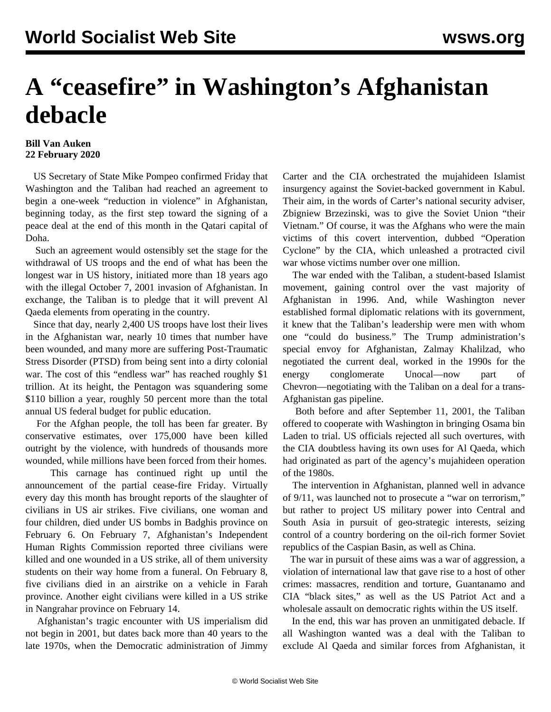## **A "ceasefire" in Washington's Afghanistan debacle**

## **Bill Van Auken 22 February 2020**

 US Secretary of State Mike Pompeo confirmed Friday that Washington and the Taliban had reached an agreement to begin a one-week "reduction in violence" in Afghanistan, beginning today, as the first step toward the signing of a peace deal at the end of this month in the Qatari capital of Doha.

 Such an agreement would ostensibly set the stage for the withdrawal of US troops and the end of what has been the longest war in US history, initiated more than 18 years ago with the illegal October 7, 2001 invasion of Afghanistan. In exchange, the Taliban is to pledge that it will prevent Al Qaeda elements from operating in the country.

 Since that day, nearly 2,400 US troops have lost their lives in the Afghanistan war, nearly 10 times that number have been wounded, and many more are suffering Post-Traumatic Stress Disorder (PTSD) from being sent into a dirty colonial war. The cost of this "endless war" has reached roughly \$1 trillion. At its height, the Pentagon was squandering some \$110 billion a year, roughly 50 percent more than the total annual US federal budget for public education.

 For the Afghan people, the toll has been far greater. By conservative estimates, over 175,000 have been killed outright by the violence, with hundreds of thousands more wounded, while millions have been forced from their homes.

 This carnage has continued right up until the announcement of the partial cease-fire Friday. Virtually every day this month has brought reports of the slaughter of civilians in US air strikes. Five civilians, one woman and four children, died under US bombs in Badghis province on February 6. On February 7, Afghanistan's Independent Human Rights Commission reported three civilians were killed and one wounded in a US strike, all of them university students on their way home from a funeral. On February 8, five civilians died in an airstrike on a vehicle in Farah province. Another eight civilians were killed in a US strike in Nangrahar province on February 14.

 Afghanistan's tragic encounter with US imperialism did not begin in 2001, but dates back more than 40 years to the late 1970s, when the Democratic administration of Jimmy Carter and the CIA orchestrated the mujahideen Islamist insurgency against the Soviet-backed government in Kabul. Their aim, in the words of Carter's national security adviser, Zbigniew Brzezinski, was to give the Soviet Union "their Vietnam." Of course, it was the Afghans who were the main victims of this covert intervention, dubbed "Operation Cyclone" by the CIA, which unleashed a protracted civil war whose victims number over one million.

 The war ended with the Taliban, a student-based Islamist movement, gaining control over the vast majority of Afghanistan in 1996. And, while Washington never established formal diplomatic relations with its government, it knew that the Taliban's leadership were men with whom one "could do business." The Trump administration's special envoy for Afghanistan, Zalmay Khalilzad, who negotiated the current deal, worked in the 1990s for the energy conglomerate Unocal—now part of Chevron—negotiating with the Taliban on a deal for a trans-Afghanistan gas pipeline.

 Both before and after September 11, 2001, the Taliban offered to cooperate with Washington in bringing Osama bin Laden to trial. US officials rejected all such overtures, with the CIA doubtless having its own uses for Al Qaeda, which had originated as part of the agency's mujahideen operation of the 1980s.

 The intervention in Afghanistan, planned well in advance of 9/11, was launched not to prosecute a "war on terrorism," but rather to project US military power into Central and South Asia in pursuit of geo-strategic interests, seizing control of a country bordering on the oil-rich former Soviet republics of the Caspian Basin, as well as China.

 The war in pursuit of these aims was a war of aggression, a violation of international law that gave rise to a host of other crimes: massacres, rendition and torture, Guantanamo and CIA "black sites," as well as the US Patriot Act and a wholesale assault on democratic rights within the US itself.

 In the end, this war has proven an unmitigated debacle. If all Washington wanted was a deal with the Taliban to exclude Al Qaeda and similar forces from Afghanistan, it